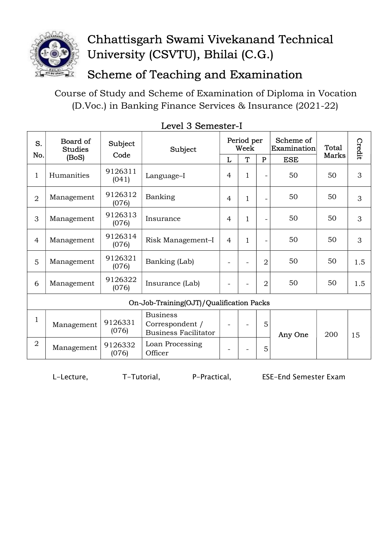

## Chhattisgarh Swami Vivekanand Technical University (CSVTU), Bhilai (C.G.)

Scheme of Teaching and Examination

 Course of Study and Scheme of Examination of Diploma in Vocation (D.Voc.) in Banking Finance Services & Insurance (2021-22)

| S.                                       | Board of<br><b>Studies</b><br>(BoS) | Subject<br>Code  | Subject                                                           | Period per<br>Week |                   |                          | Scheme of<br>Examination | Total        | Credit |  |
|------------------------------------------|-------------------------------------|------------------|-------------------------------------------------------------------|--------------------|-------------------|--------------------------|--------------------------|--------------|--------|--|
| No.                                      |                                     |                  |                                                                   | L                  | T                 | $\mathbf{P}$             | <b>ESE</b>               | <b>Marks</b> |        |  |
| 1                                        | Humanities                          | 9126311<br>(041) | Language-I                                                        | $\overline{4}$     | $\mathbf{1}$      | $\overline{a}$           | 50                       | 50           | 3      |  |
| $\overline{2}$                           | Management                          | 9126312<br>(076) | Banking                                                           | $\overline{4}$     | 1                 | $\overline{\phantom{0}}$ | 50                       | 50           | 3      |  |
| 3                                        | Management                          | 9126313<br>(076) | Insurance                                                         | $\overline{4}$     | $\mathbf{1}$      |                          | 50                       | 50           | 3      |  |
| $\overline{4}$                           | Management                          | 9126314<br>(076) | Risk Management-I                                                 | $\overline{4}$     | $\mathbf{1}$      | $\overline{\phantom{a}}$ | 50                       | 50           | 3      |  |
| 5                                        | Management                          | 9126321<br>(076) | Banking (Lab)                                                     |                    |                   | $\overline{2}$           | 50                       | 50           | 1.5    |  |
| 6                                        | Management                          | 9126322<br>(076) | Insurance (Lab)                                                   |                    |                   | $\overline{2}$           | 50                       | 50           | 1.5    |  |
| On-Job-Training(OJT)/Qualification Packs |                                     |                  |                                                                   |                    |                   |                          |                          |              |        |  |
| $\mathbf{1}$                             | Management                          | 9126331<br>(076) | <b>Business</b><br>Correspondent /<br><b>Business Facilitator</b> |                    | $\qquad \qquad -$ | 5                        | Any One                  | 200          | 15     |  |
| $\overline{2}$                           | Management                          | 9126332<br>(076) | Loan Processing<br>Officer                                        |                    |                   | 5                        |                          |              |        |  |

## Level 3 Semester-I

L-Lecture, T-Tutorial, P-Practical, ESE-End Semester Exam